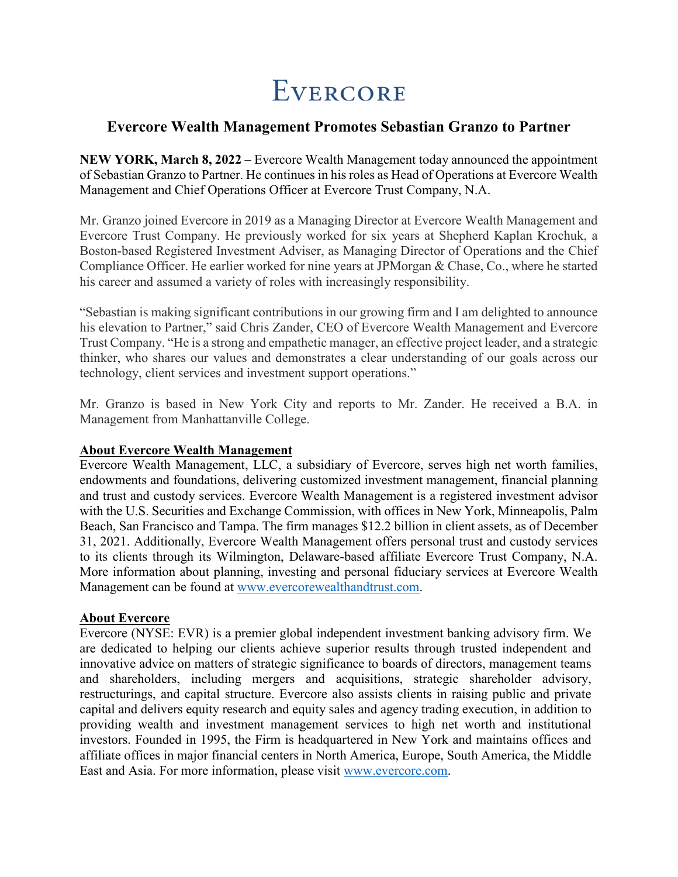## EVERCORE

## **Evercore Wealth Management Promotes Sebastian Granzo to Partner**

**NEW YORK, March 8, 2022** – Evercore Wealth Management today announced the appointment of Sebastian Granzo to Partner. He continues in his roles as Head of Operations at Evercore Wealth Management and Chief Operations Officer at Evercore Trust Company, N.A.

Mr. Granzo joined Evercore in 2019 as a Managing Director at Evercore Wealth Management and Evercore Trust Company. He previously worked for six years at Shepherd Kaplan Krochuk, a Boston-based Registered Investment Adviser, as Managing Director of Operations and the Chief Compliance Officer. He earlier worked for nine years at JPMorgan & Chase, Co., where he started his career and assumed a variety of roles with increasingly responsibility.

"Sebastian is making significant contributions in our growing firm and I am delighted to announce his elevation to Partner," said Chris Zander, CEO of Evercore Wealth Management and Evercore Trust Company. "He is a strong and empathetic manager, an effective project leader, and a strategic thinker, who shares our values and demonstrates a clear understanding of our goals across our technology, client services and investment support operations."

Mr. Granzo is based in New York City and reports to Mr. Zander. He received a B.A. in Management from Manhattanville College.

## **About Evercore Wealth Management**

Evercore Wealth Management, LLC, a subsidiary of Evercore, serves high net worth families, endowments and foundations, delivering customized investment management, financial planning and trust and custody services. Evercore Wealth Management is a registered investment advisor with the U.S. Securities and Exchange Commission, with offices in New York, Minneapolis, Palm Beach, San Francisco and Tampa. The firm manages \$12.2 billion in client assets, as of December 31, 2021. Additionally, Evercore Wealth Management offers personal trust and custody services to its clients through its Wilmington, Delaware-based affiliate Evercore Trust Company, N.A. More information about planning, investing and personal fiduciary services at Evercore Wealth Management can be found at [www.evercorewealthandtrust.com.](http://www.evercorewealthandtrust.com/)

## **About Evercore**

Evercore (NYSE: EVR) is a premier global independent investment banking advisory firm. We are dedicated to helping our clients achieve superior results through trusted independent and innovative advice on matters of strategic significance to boards of directors, management teams and shareholders, including mergers and acquisitions, strategic shareholder advisory, restructurings, and capital structure. Evercore also assists clients in raising public and private capital and delivers equity research and equity sales and agency trading execution, in addition to providing wealth and investment management services to high net worth and institutional investors. Founded in 1995, the Firm is headquartered in New York and maintains offices and affiliate offices in major financial centers in North America, Europe, South America, the Middle East and Asia. For more information, please visit [www.evercore.com.](http://www.evercore.com/)